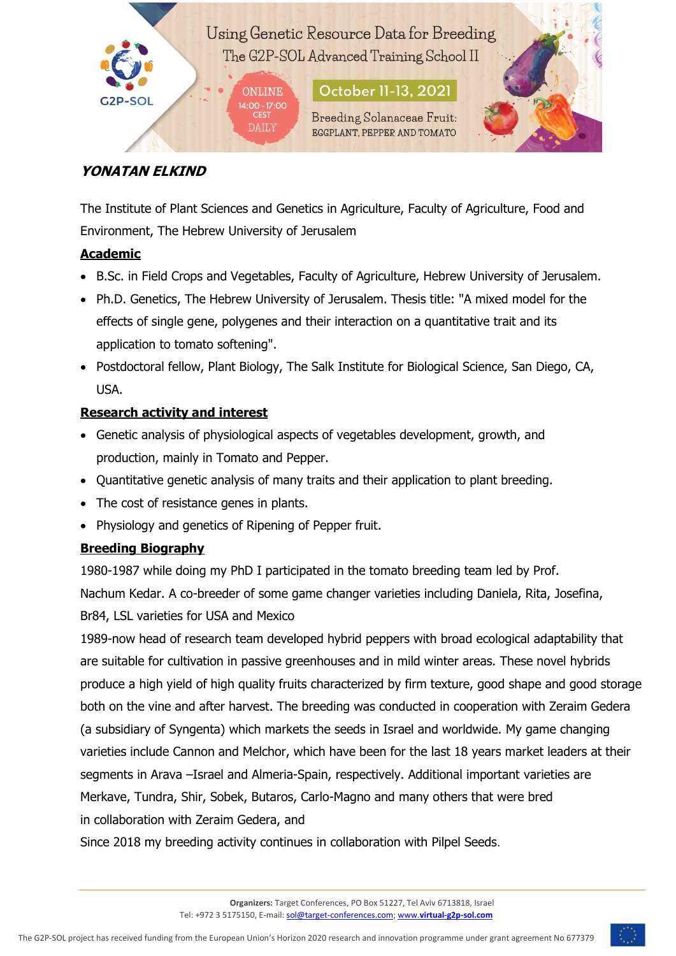Using Genetic Resource Data for Breeding The G2P-SOL Advanced Training School II

> **October 11-13, 2021 ONLINE** 14:00 - 17:00 **Breeding Solanaceae Fruit: DAILY** EGGPLANT, PEPPER AND TOMATO

**CEST** 



# **YONATAN ELKIND**

The Institute of Plant Sciences and Genetics in Agriculture, Faculty of Agriculture, Food and Environment, The Hebrew University of Jerusalem

### **Academic**

- B.Sc. in Field Crops and Vegetables, Faculty of Agriculture, Hebrew University of Jerusalem.
- Ph.D. Genetics, The Hebrew University of Jerusalem. Thesis title: "A mixed model for the effects of single gene, polygenes and their interaction on a quantitative trait and its application to tomato softening".
- Postdoctoral fellow, Plant Biology, The Salk Institute for Biological Science, San Diego, CA, USA.

## **Research activity and interest**

- Genetic analysis of physiological aspects of vegetables development, growth, and production, mainly in Tomato and Pepper.
- Quantitative genetic analysis of many traits and their application to plant breeding.
- The cost of resistance genes in plants.
- Physiology and genetics of Ripening of Pepper fruit.

### **Breeding Biography**

1980-1987 while doing my PhD I participated in the tomato breeding team led by Prof. Nachum Kedar. A co-breeder of some game changer varieties including Daniela, Rita, Josefina, Br84, LSL varieties for USA and Mexico

1989-now head of research team developed hybrid peppers with broad ecological adaptability that are suitable for cultivation in passive greenhouses and in mild winter areas. These novel hybrids produce a high yield of high quality fruits characterized by firm texture, good shape and good storage both on the vine and after harvest. The breeding was conducted in cooperation with Zeraim Gedera (a subsidiary of Syngenta) which markets the seeds in Israel and worldwide. My game changing varieties include Cannon and Melchor, which have been for the last 18 years market leaders at their segments in Arava –Israel and Almeria-Spain, respectively. Additional important varieties are Merkave, Tundra, Shir, Sobek, Butaros, Carlo-Magno and many others that were bred in collaboration with Zeraim Gedera, and

Since 2018 my breeding activity continues in collaboration with Pilpel Seeds.